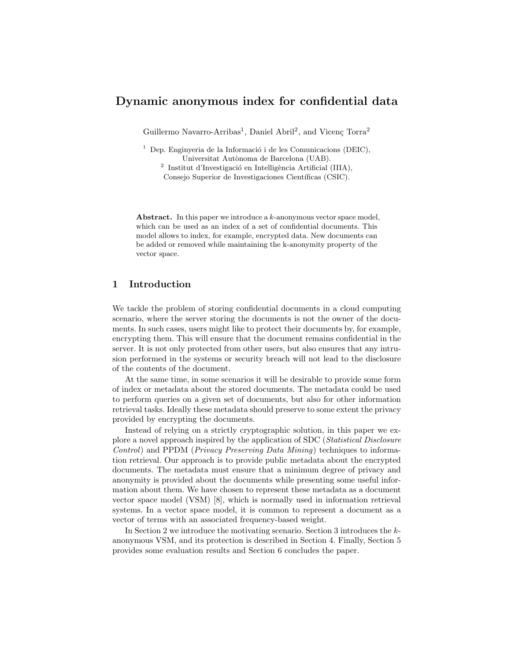# Dynamic anonymous index for confidential data

Guillermo Navarro-Arribas<sup>1</sup>, Daniel Abril<sup>2</sup>, and Vicenç Torra<sup>2</sup>

<sup>1</sup> Dep. Enginyeria de la Informació i de les Comunicacions (DEIC), Universitat Autònoma de Barcelona (UAB).

<sup>2</sup> Institut d'Investigació en Intelligència Artificial (IIIA), Consejo Superior de Investigaciones Científicas (CSIC).

Abstract. In this paper we introduce a k-anonymous vector space model, which can be used as an index of a set of confidential documents. This model allows to index, for example, encrypted data. New documents can be added or removed while maintaining the k-anonymity property of the vector space.

# 1 Introduction

We tackle the problem of storing confidential documents in a cloud computing scenario, where the server storing the documents is not the owner of the documents. In such cases, users might like to protect their documents by, for example, encrypting them. This will ensure that the document remains confidential in the server. It is not only protected from other users, but also ensures that any intrusion performed in the systems or security breach will not lead to the disclosure of the contents of the document.

At the same time, in some scenarios it will be desirable to provide some form of index or metadata about the stored documents. The metadata could be used to perform queries on a given set of documents, but also for other information retrieval tasks. Ideally these metadata should preserve to some extent the privacy provided by encrypting the documents.

Instead of relying on a strictly cryptographic solution, in this paper we explore a novel approach inspired by the application of SDC (Statistical Disclosure Control) and PPDM (Privacy Preserving Data Mining) techniques to information retrieval. Our approach is to provide public metadata about the encrypted documents. The metadata must ensure that a minimum degree of privacy and anonymity is provided about the documents while presenting some useful information about them. We have chosen to represent these metadata as a document vector space model (VSM) [8], which is normally used in information retrieval systems. In a vector space model, it is common to represent a document as a vector of terms with an associated frequency-based weight.

In Section 2 we introduce the motivating scenario. Section 3 introduces the kanonymous VSM, and its protection is described in Section 4. Finally, Section 5 provides some evaluation results and Section 6 concludes the paper.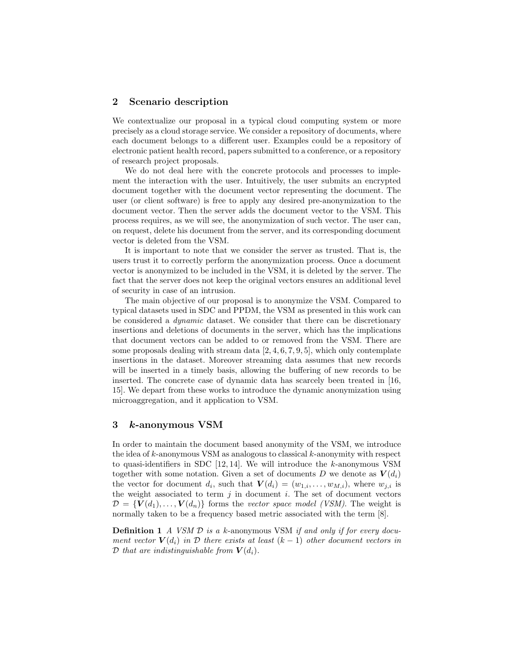# 2 Scenario description

We contextualize our proposal in a typical cloud computing system or more precisely as a cloud storage service. We consider a repository of documents, where each document belongs to a different user. Examples could be a repository of electronic patient health record, papers submitted to a conference, or a repository of research project proposals.

We do not deal here with the concrete protocols and processes to implement the interaction with the user. Intuitively, the user submits an encrypted document together with the document vector representing the document. The user (or client software) is free to apply any desired pre-anonymization to the document vector. Then the server adds the document vector to the VSM. This process requires, as we will see, the anonymization of such vector. The user can, on request, delete his document from the server, and its corresponding document vector is deleted from the VSM.

It is important to note that we consider the server as trusted. That is, the users trust it to correctly perform the anonymization process. Once a document vector is anonymized to be included in the VSM, it is deleted by the server. The fact that the server does not keep the original vectors ensures an additional level of security in case of an intrusion.

The main objective of our proposal is to anonymize the VSM. Compared to typical datasets used in SDC and PPDM, the VSM as presented in this work can be considered a dynamic dataset. We consider that there can be discretionary insertions and deletions of documents in the server, which has the implications that document vectors can be added to or removed from the VSM. There are some proposals dealing with stream data  $[2, 4, 6, 7, 9, 5]$ , which only contemplate insertions in the dataset. Moreover streaming data assumes that new records will be inserted in a timely basis, allowing the buffering of new records to be inserted. The concrete case of dynamic data has scarcely been treated in [16, 15]. We depart from these works to introduce the dynamic anonymization using microaggregation, and it application to VSM.

### 3 k-anonymous VSM

In order to maintain the document based anonymity of the VSM, we introduce the idea of  $k$ -anonymous VSM as analogous to classical  $k$ -anonymity with respect to quasi-identifiers in SDC [12, 14]. We will introduce the k-anonymous VSM together with some notation. Given a set of documents D we denote as  $V(d_i)$ the vector for document  $d_i$ , such that  $\mathbf{V}(d_i) = (w_{1,i}, \ldots, w_{M,i})$ , where  $w_{j,i}$  is the weight associated to term  $j$  in document  $i$ . The set of document vectors  $\mathcal{D} = \{V(d_1), \ldots, V(d_n)\}\$ forms the vector space model (VSM). The weight is normally taken to be a frequency based metric associated with the term [8].

**Definition 1** A VSM  $\mathcal{D}$  is a k-anonymous VSM if and only if for every document vector  $V(d_i)$  in D there exists at least  $(k-1)$  other document vectors in D that are indistinguishable from  $V(d_i)$ .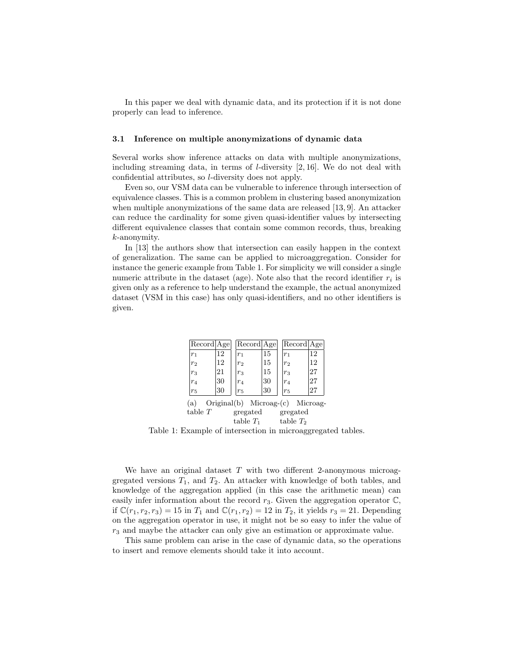In this paper we deal with dynamic data, and its protection if it is not done properly can lead to inference.

#### 3.1 Inference on multiple anonymizations of dynamic data

Several works show inference attacks on data with multiple anonymizations, including streaming data, in terms of  $l$ -diversity  $[2, 16]$ . We do not deal with confidential attributes, so l-diversity does not apply.

Even so, our VSM data can be vulnerable to inference through intersection of equivalence classes. This is a common problem in clustering based anonymization when multiple anonymizations of the same data are released [13, 9]. An attacker can reduce the cardinality for some given quasi-identifier values by intersecting different equivalence classes that contain some common records, thus, breaking k-anonymity.

In [13] the authors show that intersection can easily happen in the context of generalization. The same can be applied to microaggregation. Consider for instance the generic example from Table 1. For simplicity we will consider a single numeric attribute in the dataset (age). Note also that the record identifier  $r_i$  is given only as a reference to help understand the example, the actual anonymized dataset (VSM in this case) has only quasi-identifiers, and no other identifiers is given.

|                                           | Record Age     |    |  | Record Age        |    |  | Record Age     |    |  |  |
|-------------------------------------------|----------------|----|--|-------------------|----|--|----------------|----|--|--|
|                                           | r <sub>1</sub> | 12 |  | $r_1$             | 15 |  | $r_1$          | 12 |  |  |
|                                           | r <sub>2</sub> | 12 |  | r <sub>2</sub>    | 15 |  | r <sub>2</sub> | 12 |  |  |
|                                           | $r_3$          | 21 |  | $r_3$             | 15 |  | $r_3$          | 27 |  |  |
|                                           | $r_4$          | 30 |  | $r_4$             | 30 |  | $r_4$          | 27 |  |  |
|                                           | r <sub>5</sub> | 30 |  | $r_{5}$           | 30 |  | $r_5$          | 27 |  |  |
| (a) $Original(b)$ Microag- $(c)$ Microag- |                |    |  |                   |    |  |                |    |  |  |
|                                           | table $T$      |    |  | gregated gregated |    |  |                |    |  |  |
|                                           |                |    |  | table $T_1$       |    |  | table $T_2$    |    |  |  |

Table 1: Example of intersection in microaggregated tables.

We have an original dataset  $T$  with two different 2-anonymous microaggregated versions  $T_1$ , and  $T_2$ . An attacker with knowledge of both tables, and knowledge of the aggregation applied (in this case the arithmetic mean) can easily infer information about the record  $r_3$ . Given the aggregation operator  $\mathbb{C}$ , if  $\mathbb{C}(r_1, r_2, r_3) = 15$  in  $T_1$  and  $\mathbb{C}(r_1, r_2) = 12$  in  $T_2$ , it yields  $r_3 = 21$ . Depending on the aggregation operator in use, it might not be so easy to infer the value of  $r<sub>3</sub>$  and maybe the attacker can only give an estimation or approximate value.

This same problem can arise in the case of dynamic data, so the operations to insert and remove elements should take it into account.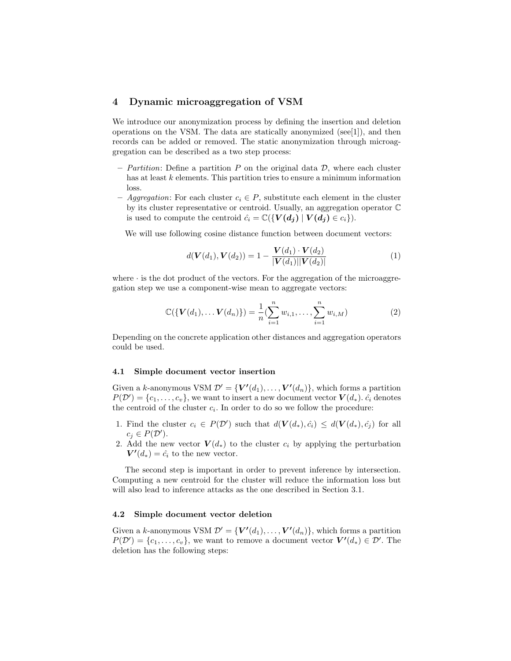# 4 Dynamic microaggregation of VSM

We introduce our anonymization process by defining the insertion and deletion operations on the VSM. The data are statically anonymized (see[1]), and then records can be added or removed. The static anonymization through microaggregation can be described as a two step process:

- Partition: Define a partition P on the original data  $\mathcal{D}$ , where each cluster has at least k elements. This partition tries to ensure a minimum information loss.
- Aggregation: For each cluster  $c_i \in P$ , substitute each element in the cluster by its cluster representative or centroid. Usually, an aggregation operator C is used to compute the centroid  $\hat{c}_i = \mathbb{C}(\{V(d_i) | V(d_i) \in c_i\}).$

We will use following cosine distance function between document vectors:

$$
d(\mathbf{V}(d_1), \mathbf{V}(d_2)) = 1 - \frac{\mathbf{V}(d_1) \cdot \mathbf{V}(d_2)}{|\mathbf{V}(d_1)||\mathbf{V}(d_2)|}
$$
(1)

where  $\cdot$  is the dot product of the vectors. For the aggregation of the microaggregation step we use a component-wise mean to aggregate vectors:

$$
\mathbb{C}(\{\mathbf{V}(d_1),\ldots,\mathbf{V}(d_n)\})=\frac{1}{n}(\sum_{i=1}^n w_{i,1},\ldots,\sum_{i=1}^n w_{i,M})
$$
 (2)

Depending on the concrete application other distances and aggregation operators could be used.

#### 4.1 Simple document vector insertion

Given a k-anonymous VSM  $\mathcal{D}' = \{V'(d_1), \ldots, V'(d_n)\}\$ , which forms a partition  $P(\mathcal{D}') = \{c_1, \ldots, c_v\}$ , we want to insert a new document vector  $\mathbf{V}(d_*)$ .  $\hat{c}_i$  denotes the centroid of the cluster  $c_i$ . In order to do so we follow the procedure:

- 1. Find the cluster  $c_i \in P(\mathcal{D}')$  such that  $d(\mathbf{V}(d_*), \hat{c}_i) \leq d(\mathbf{V}(d_*), \hat{c}_j)$  for all  $c_j \in P(\mathcal{D}^\prime).$
- 2. Add the new vector  $V(d_*)$  to the cluster  $c_i$  by applying the perturbation  $V'(d_*) = \hat{c}_i$  to the new vector.

The second step is important in order to prevent inference by intersection. Computing a new centroid for the cluster will reduce the information loss but will also lead to inference attacks as the one described in Section 3.1.

#### 4.2 Simple document vector deletion

Given a k-anonymous VSM  $\mathcal{D}' = \{V'(d_1), \ldots, V'(d_n)\}\$ , which forms a partition  $P(\mathcal{D}') = \{c_1, \ldots, c_v\}$ , we want to remove a document vector  $\mathbf{V}'(d_*) \in \mathcal{D}'$ . The deletion has the following steps: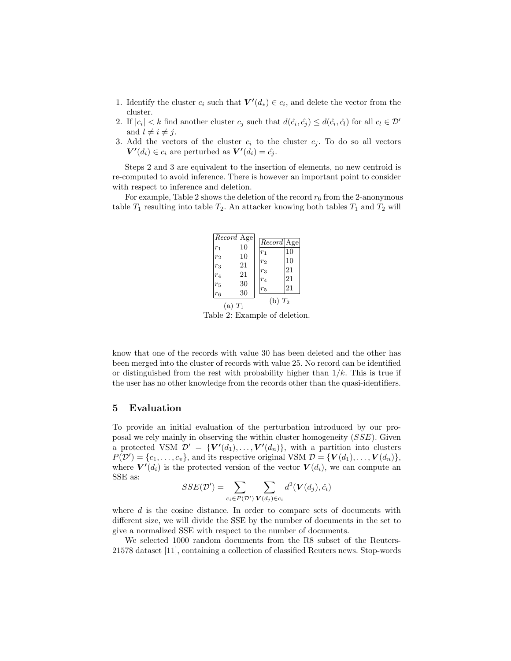- 1. Identify the cluster  $c_i$  such that  $V'(d_*) \in c_i$ , and delete the vector from the cluster.
- 2. If  $|c_i| < k$  find another cluster  $c_j$  such that  $d(\hat{c}_i, \hat{c}_j) \leq d(\hat{c}_i, \hat{c}_i)$  for all  $c_l \in \mathcal{D}'$ and  $l \neq i \neq j$ .
- 3. Add the vectors of the cluster  $c_i$  to the cluster  $c_j$ . To do so all vectors  $V'(d_i) \in c_i$  are perturbed as  $V'(d_i) = \hat{c}_j$ .

Steps 2 and 3 are equivalent to the insertion of elements, no new centroid is re-computed to avoid inference. There is however an important point to consider with respect to inference and deletion.

For example, Table 2 shows the deletion of the record  $r_6$  from the 2-anonymous table  $T_1$  resulting into table  $T_2$ . An attacker knowing both tables  $T_1$  and  $T_2$  will

|                         | Record Age |                         | $Record$ Age |  |  |
|-------------------------|------------|-------------------------|--------------|--|--|
| $r_1$                   | 10<br>10   | $r_1$                   | 10           |  |  |
| r <sub>2</sub><br>$r_3$ | 21         | r <sub>2</sub>          | 10           |  |  |
| $r_4$                   | 21         | $r_3$                   | 21           |  |  |
| $r_5$                   | 30         | r <sub>4</sub><br>$r_5$ | 21<br>21     |  |  |
| r <sub>6</sub>          | 30         |                         |              |  |  |
|                         | $(a)T_1$   | $(b)T_2$                |              |  |  |

Table 2: Example of deletion.

know that one of the records with value 30 has been deleted and the other has been merged into the cluster of records with value 25. No record can be identified or distinguished from the rest with probability higher than  $1/k$ . This is true if the user has no other knowledge from the records other than the quasi-identifiers.

### 5 Evaluation

To provide an initial evaluation of the perturbation introduced by our proposal we rely mainly in observing the within cluster homogeneity (SSE). Given a protected VSM  $\mathcal{D}' = \{V'(d_1), \ldots, V'(d_n)\}\$ , with a partition into clusters  $P(\mathcal{D}') = \{c_1, \ldots, c_v\}$ , and its respective original VSM  $\mathcal{D} = \{V(d_1), \ldots, V(d_n)\}\$ , where  $V'(d_i)$  is the protected version of the vector  $V(d_i)$ , we can compute an SSE as:

$$
SSE(\mathcal{D}') = \sum_{c_i \in P(\mathcal{D}')} \sum_{\mathbf{V}(d_j) \in c_i} d^2(\mathbf{V}(d_j), \hat{c}_i)
$$

where d is the cosine distance. In order to compare sets of documents with different size, we will divide the SSE by the number of documents in the set to give a normalized SSE with respect to the number of documents.

We selected 1000 random documents from the R8 subset of the Reuters-21578 dataset [11], containing a collection of classified Reuters news. Stop-words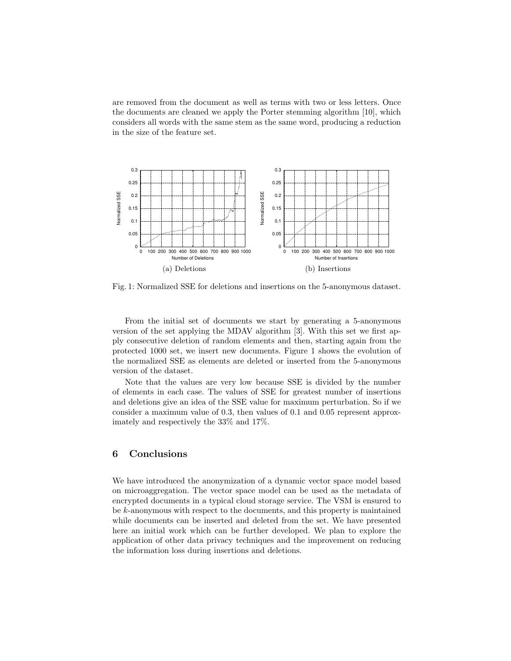are removed from the document as well as terms with two or less letters. Once the documents are cleaned we apply the Porter stemming algorithm [10], which considers all words with the same stem as the same word, producing a reduction in the size of the feature set.



Fig. 1: Normalized SSE for deletions and insertions on the 5-anonymous dataset.

From the initial set of documents we start by generating a 5-anonymous version of the set applying the MDAV algorithm [3]. With this set we first apply consecutive deletion of random elements and then, starting again from the protected 1000 set, we insert new documents. Figure 1 shows the evolution of the normalized SSE as elements are deleted or inserted from the 5-anonymous version of the dataset.

Note that the values are very low because SSE is divided by the number of elements in each case. The values of SSE for greatest number of insertions and deletions give an idea of the SSE value for maximum perturbation. So if we consider a maximum value of 0.3, then values of 0.1 and 0.05 represent approximately and respectively the 33% and 17%.

# 6 Conclusions

We have introduced the anonymization of a dynamic vector space model based on microaggregation. The vector space model can be used as the metadata of encrypted documents in a typical cloud storage service. The VSM is ensured to be k-anonymous with respect to the documents, and this property is maintained while documents can be inserted and deleted from the set. We have presented here an initial work which can be further developed. We plan to explore the application of other data privacy techniques and the improvement on reducing the information loss during insertions and deletions.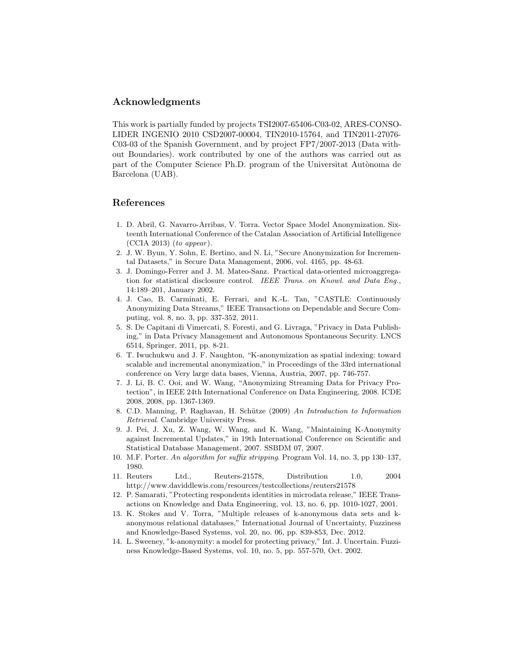# Acknowledgments

This work is partially funded by projects TSI2007-65406-C03-02, ARES-CONSO-LIDER INGENIO 2010 CSD2007-00004, TIN2010-15764, and TIN2011-27076- C03-03 of the Spanish Government, and by project FP7/2007-2013 (Data without Boundaries). work contributed by one of the authors was carried out as part of the Computer Science Ph.D. program of the Universitat Autònoma de Barcelona (UAB).

# References

- 1. D. Abril, G. Navarro-Arribas, V. Torra. Vector Space Model Anonymization. Sixteenth International Conference of the Catalan Association of Artificial Intelligence  $(CCIA 2013)$  (to appear).
- 2. J. W. Byun, Y. Sohn, E. Bertino, and N. Li, "Secure Anonymization for Incremental Datasets," in Secure Data Management, 2006, vol. 4165, pp. 48-63.
- 3. J. Domingo-Ferrer and J. M. Mateo-Sanz. Practical data-oriented microaggregation for statistical disclosure control. IEEE Trans. on Knowl. and Data Eng., 14:189–201, January 2002.
- 4. J. Cao, B. Carminati, E. Ferrari, and K.-L. Tan, "CASTLE: Continuously Anonymizing Data Streams," IEEE Transactions on Dependable and Secure Computing, vol. 8, no. 3, pp. 337-352, 2011.
- 5. S. De Capitani di Vimercati, S. Foresti, and G. Livraga, "Privacy in Data Publishing," in Data Privacy Management and Autonomous Spontaneous Security. LNCS 6514, Springer, 2011, pp. 8-21.
- 6. T. Iwuchukwu and J. F. Naughton, "K-anonymization as spatial indexing: toward scalable and incremental anonymization," in Proceedings of the 33rd international conference on Very large data bases, Vienna, Austria, 2007, pp. 746-757.
- 7. J. Li, B. C. Ooi, and W. Wang, "Anonymizing Streaming Data for Privacy Protection", in IEEE 24th International Conference on Data Engineering, 2008. ICDE 2008, 2008, pp. 1367-1369.
- 8. C.D. Manning, P. Raghavan, H. Schütze (2009) An Introduction to Information Retrieval. Cambridge University Press.
- 9. J. Pei, J. Xu, Z. Wang, W. Wang, and K. Wang, "Maintaining K-Anonymity against Incremental Updates," in 19th International Conference on Scientific and Statistical Database Management, 2007. SSBDM 07, 2007.
- 10. M.F. Porter. An algorithm for suffix stripping. Program Vol. 14, no. 3, pp 130–137, 1980.
- 11. Reuters Ltd., Reuters-21578, Distribution 1.0, 2004 http://www.daviddlewis.com/resources/testcollections/reuters21578
- 12. P. Samarati, "Protecting respondents identities in microdata release," IEEE Transactions on Knowledge and Data Engineering, vol. 13, no. 6, pp. 1010-1027, 2001.
- 13. K. Stokes and V. Torra, "Multiple releases of k-anonymous data sets and kanonymous relational databases," International Journal of Uncertainty, Fuzziness and Knowledge-Based Systems, vol. 20, no. 06, pp. 839-853, Dec. 2012.
- 14. L. Sweeney, "k-anonymity: a model for protecting privacy," Int. J. Uncertain. Fuzziness Knowledge-Based Systems, vol. 10, no. 5, pp. 557-570, Oct. 2002.